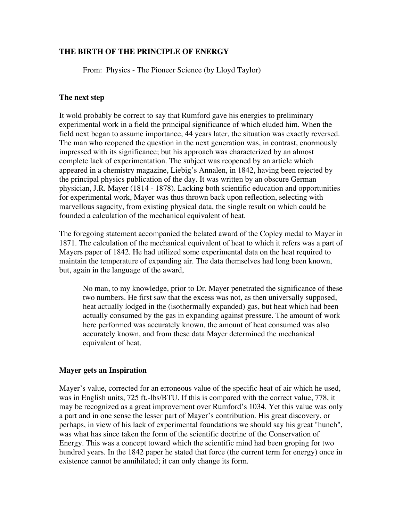# **THE BIRTH OF THE PRINCIPLE OF ENERGY**

From: Physics - The Pioneer Science (by Lloyd Taylor)

### **The next step**

It wold probably be correct to say that Rumford gave his energies to preliminary experimental work in a field the principal significance of which eluded him. When the field next began to assume importance, 44 years later, the situation was exactly reversed. The man who reopened the question in the next generation was, in contrast, enormously impressed with its significance; but his approach was characterized by an almost complete lack of experimentation. The subject was reopened by an article which appeared in a chemistry magazine, Liebig's Annalen, in 1842, having been rejected by the principal physics publication of the day. It was written by an obscure German physician, J.R. Mayer (1814 - 1878). Lacking both scientific education and opportunities for experimental work, Mayer was thus thrown back upon reflection, selecting with marvellous sagacity, from existing physical data, the single result on which could be founded a calculation of the mechanical equivalent of heat.

The foregoing statement accompanied the belated award of the Copley medal to Mayer in 1871. The calculation of the mechanical equivalent of heat to which it refers was a part of Mayers paper of 1842. He had utilized some experimental data on the heat required to maintain the temperature of expanding air. The data themselves had long been known, but, again in the language of the award,

No man, to my knowledge, prior to Dr. Mayer penetrated the significance of these two numbers. He first saw that the excess was not, as then universally supposed, heat actually lodged in the (isothermally expanded) gas, but heat which had been actually consumed by the gas in expanding against pressure. The amount of work here performed was accurately known, the amount of heat consumed was also accurately known, and from these data Mayer determined the mechanical equivalent of heat.

## **Mayer gets an Inspiration**

Mayer's value, corrected for an erroneous value of the specific heat of air which he used, was in English units, 725 ft.-lbs/BTU. If this is compared with the correct value, 778, it may be recognized as a great improvement over Rumford's 1034. Yet this value was only a part and in one sense the lesser part of Mayer's contribution. His great discovery, or perhaps, in view of his lack of experimental foundations we should say his great "hunch", was what has since taken the form of the scientific doctrine of the Conservation of Energy. This was a concept toward which the scientific mind had been groping for two hundred years. In the 1842 paper he stated that force (the current term for energy) once in existence cannot be annihilated; it can only change its form.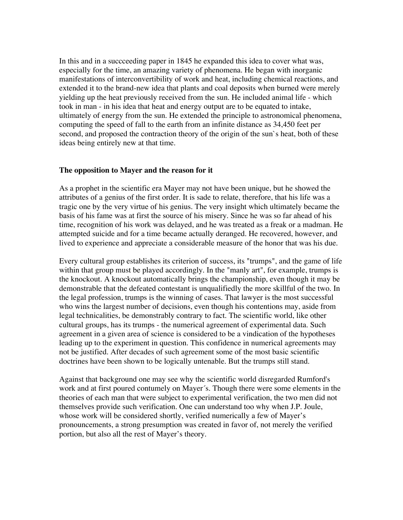In this and in a succceeding paper in 1845 he expanded this idea to cover what was, especially for the time, an amazing variety of phenomena. He began with inorganic manifestations of interconvertibility of work and heat, including chemical reactions, and extended it to the brand-new idea that plants and coal deposits when burned were merely yielding up the heat previously received from the sun. He included animal life - which took in man - in his idea that heat and energy output are to be equated to intake, ultimately of energy from the sun. He extended the principle to astronomical phenomena, computing the speed of fall to the earth from an infinite distance as 34,450 feet per second, and proposed the contraction theory of the origin of the sun`s heat, both of these ideas being entirely new at that time.

### **The opposition to Mayer and the reason for it**

As a prophet in the scientific era Mayer may not have been unique, but he showed the attributes of a genius of the first order. It is sade to relate, therefore, that his life was a tragic one by the very virtue of his genius. The very insight which ultimately became the basis of his fame was at first the source of his misery. Since he was so far ahead of his time, recognition of his work was delayed, and he was treated as a freak or a madman. He attempted suicide and for a time became actually deranged. He recovered, however, and lived to experience and appreciate a considerable measure of the honor that was his due.

Every cultural group establishes its criterion of success, its "trumps", and the game of life within that group must be played accordingly. In the "manly art", for example, trumps is the knockout. A knockout automatically brings the championship, even though it may be demonstrable that the defeated contestant is unqualifiedly the more skillful of the two. In the legal profession, trumps is the winning of cases. That lawyer is the most successful who wins the largest number of decisions, even though his contentions may, aside from legal technicalities, be demonstrably contrary to fact. The scientific world, like other cultural groups, has its trumps - the numerical agreement of experimental data. Such agreement in a given area of science is considered to be a vindication of the hypotheses leading up to the experiment in question. This confidence in numerical agreements may not be justified. After decades of such agreement some of the most basic scientific doctrines have been shown to be logically untenable. But the trumps still stand.

Against that background one may see why the scientific world disregarded Rumford's work and at first poured contumely on Mayer´s. Though there were some elements in the theories of each man that were subject to experimental verification, the two men did not themselves provide such verification. One can understand too why when J.P. Joule, whose work will be considered shortly, verified numerically a few of Mayer's pronouncements, a strong presumption was created in favor of, not merely the verified portion, but also all the rest of Mayer's theory.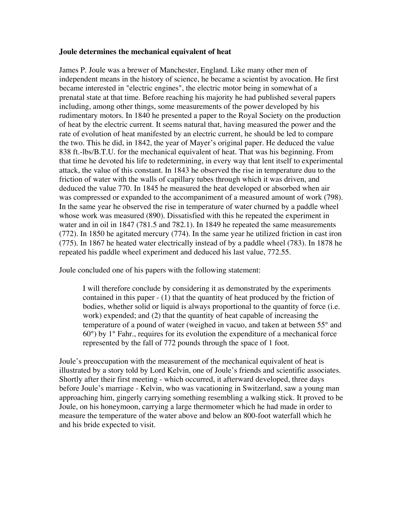#### **Joule determines the mechanical equivalent of heat**

James P. Joule was a brewer of Manchester, England. Like many other men of independent means in the history of science, he became a scientist by avocation. He first became interested in "electric engines", the electric motor being in somewhat of a prenatal state at that time. Before reaching his majority he had published several papers including, among other things, some measurements of the power developed by his rudimentary motors. In 1840 he presented a paper to the Royal Society on the production of heat by the electric current. It seems natural that, having measured the power and the rate of evolution of heat manifested by an electric current, he should be led to compare the two. This he did, in 1842, the year of Mayer's original paper. He deduced the value 838 ft.-lbs/B.T.U. for the mechanical equivalent of heat. That was his beginning. From that time he devoted his life to redetermining, in every way that lent itself to experimental attack, the value of this constant. In 1843 he observed the rise in temperature duu to the friction of water with the walls of capillary tubes through which it was driven, and deduced the value 770. In 1845 he measured the heat developed or absorbed when air was compressed or expanded to the accompaniment of a measured amount of work (798). In the same year he observed the rise in temperature of water churned by a paddle wheel whose work was measured (890). Dissatisfied with this he repeated the experiment in water and in oil in 1847 (781.5 and 782.1). In 1849 he repeated the same measurements (772). In 1850 he agitated mercury (774). In the same year he utilized friction in cast iron (775). In 1867 he heated water electrically instead of by a paddle wheel (783). In 1878 he repeated his paddle wheel experiment and deduced his last value, 772.55.

Joule concluded one of his papers with the following statement:

I will therefore conclude by considering it as demonstrated by the experiments contained in this paper  $- (1)$  that the quantity of heat produced by the friction of bodies, whether solid or liquid is always proportional to the quantity of force (i.e. work) expended; and (2) that the quantity of heat capable of increasing the temperature of a pound of water (weighed in vacuo, and taken at between 55° and 60°) by 1° Fahr., requires for its evolution the expenditure of a mechanical force represented by the fall of 772 pounds through the space of 1 foot.

Joule's preoccupation with the measurement of the mechanical equivalent of heat is illustrated by a story told by Lord Kelvin, one of Joule's friends and scientific associates. Shortly after their first meeting - which occurred, it afterward developed, three days before Joule's marriage - Kelvin, who was vacationing in Switzerland, saw a young man approaching him, gingerly carrying something resembling a walking stick. It proved to be Joule, on his honeymoon, carrying a large thermometer which he had made in order to measure the temperature of the water above and below an 800-foot waterfall which he and his bride expected to visit.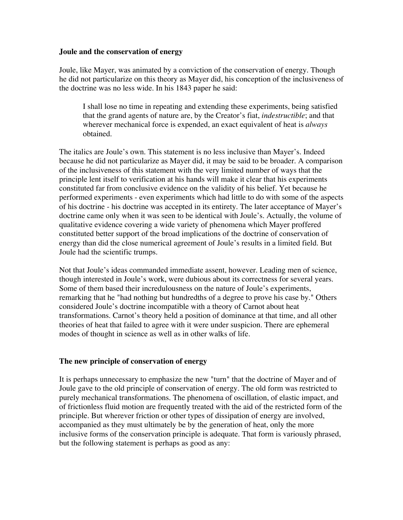### **Joule and the conservation of energy**

Joule, like Mayer, was animated by a conviction of the conservation of energy. Though he did not particularize on this theory as Mayer did, his conception of the inclusiveness of the doctrine was no less wide. In his 1843 paper he said:

I shall lose no time in repeating and extending these experiments, being satisfied that the grand agents of nature are, by the Creator's fiat, *indestructible*; and that wherever mechanical force is expended, an exact equivalent of heat is *always* obtained.

The italics are Joule's own. This statement is no less inclusive than Mayer's. Indeed because he did not particularize as Mayer did, it may be said to be broader. A comparison of the inclusiveness of this statement with the very limited number of ways that the principle lent itself to verification at his hands will make it clear that his experiments constituted far from conclusive evidence on the validity of his belief. Yet because he performed experiments - even experiments which had little to do with some of the aspects of his doctrine - his doctrine was accepted in its entirety. The later acceptance of Mayer's doctrine came only when it was seen to be identical with Joule's. Actually, the volume of qualitative evidence covering a wide variety of phenomena which Mayer proffered constituted better support of the broad implications of the doctrine of conservation of energy than did the close numerical agreement of Joule's results in a limited field. But Joule had the scientific trumps.

Not that Joule's ideas commanded immediate assent, however. Leading men of science, though interested in Joule's work, were dubious about its correctness for several years. Some of them based their incredulousness on the nature of Joule's experiments, remarking that he "had nothing but hundredths of a degree to prove his case by." Others considered Joule's doctrine incompatible with a theory of Carnot about heat transformations. Carnot's theory held a position of dominance at that time, and all other theories of heat that failed to agree with it were under suspicion. There are ephemeral modes of thought in science as well as in other walks of life.

## **The new principle of conservation of energy**

It is perhaps unnecessary to emphasize the new "turn" that the doctrine of Mayer and of Joule gave to the old principle of conservation of energy. The old form was restricted to purely mechanical transformations. The phenomena of oscillation, of elastic impact, and of frictionless fluid motion are frequently treated with the aid of the restricted form of the principle. But wherever friction or other types of dissipation of energy are involved, accompanied as they must ultimately be by the generation of heat, only the more inclusive forms of the conservation principle is adequate. That form is variously phrased, but the following statement is perhaps as good as any: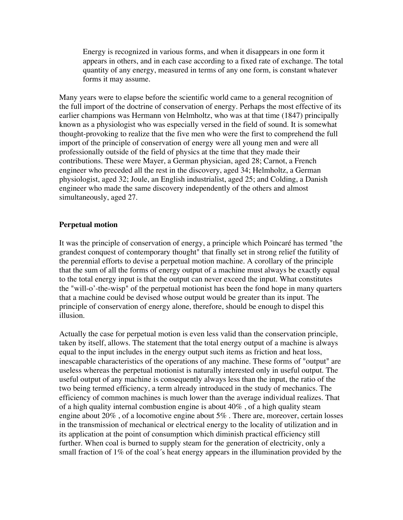Energy is recognized in various forms, and when it disappears in one form it appears in others, and in each case according to a fixed rate of exchange. The total quantity of any energy, measured in terms of any one form, is constant whatever forms it may assume.

Many years were to elapse before the scientific world came to a general recognition of the full import of the doctrine of conservation of energy. Perhaps the most effective of its earlier champions was Hermann von Helmholtz, who was at that time (1847) principally known as a physiologist who was especially versed in the field of sound. It is somewhat thought-provoking to realize that the five men who were the first to comprehend the full import of the principle of conservation of energy were all young men and were all professionally outside of the field of physics at the time that they made their contributions. These were Mayer, a German physician, aged 28; Carnot, a French engineer who preceded all the rest in the discovery, aged 34; Helmholtz, a German physiologist, aged 32; Joule, an English industrialist, aged 25; and Colding, a Danish engineer who made the same discovery independently of the others and almost simultaneously, aged 27.

#### **Perpetual motion**

It was the principle of conservation of energy, a principle which Poincaré has termed "the grandest conquest of contemporary thought" that finally set in strong relief the futility of the perennial efforts to devise a perpetual motion machine. A corollary of the principle that the sum of all the forms of energy output of a machine must always be exactly equal to the total energy input is that the output can never exceed the input. What constitutes the "will-o'-the-wisp" of the perpetual motionist has been the fond hope in many quarters that a machine could be devised whose output would be greater than its input. The principle of conservation of energy alone, therefore, should be enough to dispel this illusion.

Actually the case for perpetual motion is even less valid than the conservation principle, taken by itself, allows. The statement that the total energy output of a machine is always equal to the input includes in the energy output such items as friction and heat loss, inescapable characteristics of the operations of any machine. These forms of "output" are useless whereas the perpetual motionist is naturally interested only in useful output. The useful output of any machine is consequently always less than the input, the ratio of the two being termed efficiency, a term already introduced in the study of mechanics. The efficiency of common machines is much lower than the average individual realizes. That of a high quality internal combustion engine is about  $40\%$ , of a high quality steam engine about 20% , of a locomotive engine about 5% . There are, moreover, certain losses in the transmission of mechanical or electrical energy to the locality of utilization and in its application at the point of consumption which diminish practical efficiency still further. When coal is burned to supply steam for the generation of electricity, only a small fraction of 1% of the coal´s heat energy appears in the illumination provided by the